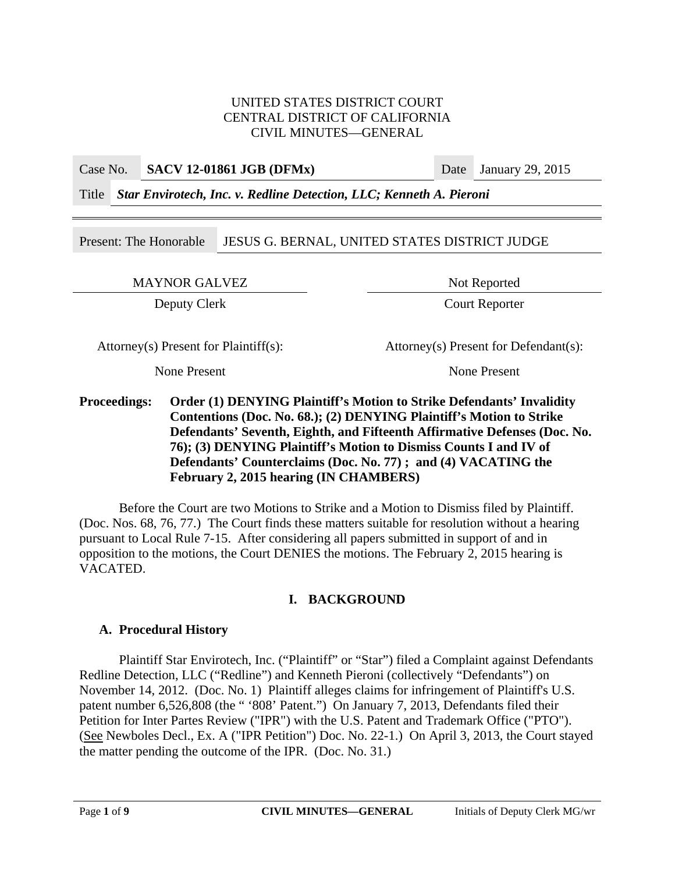#### UNITED STATES DISTRICT COURT CENTRAL DISTRICT OF CALIFORNIA CIVIL MINUTES—GENERAL

Case No. **SACV 12-01861 JGB (DFMx)** Date January 29, 2015

Title *Star Envirotech, Inc. v. Redline Detection, LLC; Kenneth A. Pieroni* 

Present: The Honorable JESUS G. BERNAL, UNITED STATES DISTRICT JUDGE

MAYNOR GALVEZ Not Reported

Deputy Clerk Court Reporter

Attorney(s) Present for Plaintiff(s): Attorney(s) Present for Defendant(s):

None Present None Present

**Proceedings: Order (1) DENYING Plaintiff's Motion to Strike Defendants' Invalidity Contentions (Doc. No. 68.); (2) DENYING Plaintiff's Motion to Strike Defendants' Seventh, Eighth, and Fifteenth Affirmative Defenses (Doc. No. 76); (3) DENYING Plaintiff's Motion to Dismiss Counts I and IV of Defendants' Counterclaims (Doc. No. 77) ; and (4) VACATING the February 2, 2015 hearing (IN CHAMBERS)** 

Before the Court are two Motions to Strike and a Motion to Dismiss filed by Plaintiff. (Doc. Nos. 68, 76, 77.) The Court finds these matters suitable for resolution without a hearing pursuant to Local Rule 7-15. After considering all papers submitted in support of and in opposition to the motions, the Court DENIES the motions. The February 2, 2015 hearing is VACATED.

# **I. BACKGROUND**

#### **A. Procedural History**

Plaintiff Star Envirotech, Inc. ("Plaintiff" or "Star") filed a Complaint against Defendants Redline Detection, LLC ("Redline") and Kenneth Pieroni (collectively "Defendants") on November 14, 2012. (Doc. No. 1) Plaintiff alleges claims for infringement of Plaintiff's U.S. patent number 6,526,808 (the " '808' Patent.") On January 7, 2013, Defendants filed their Petition for Inter Partes Review ("IPR") with the U.S. Patent and Trademark Office ("PTO"). (See Newboles Decl., Ex. A ("IPR Petition") Doc. No. 22-1.) On April 3, 2013, the Court stayed the matter pending the outcome of the IPR. (Doc. No. 31.)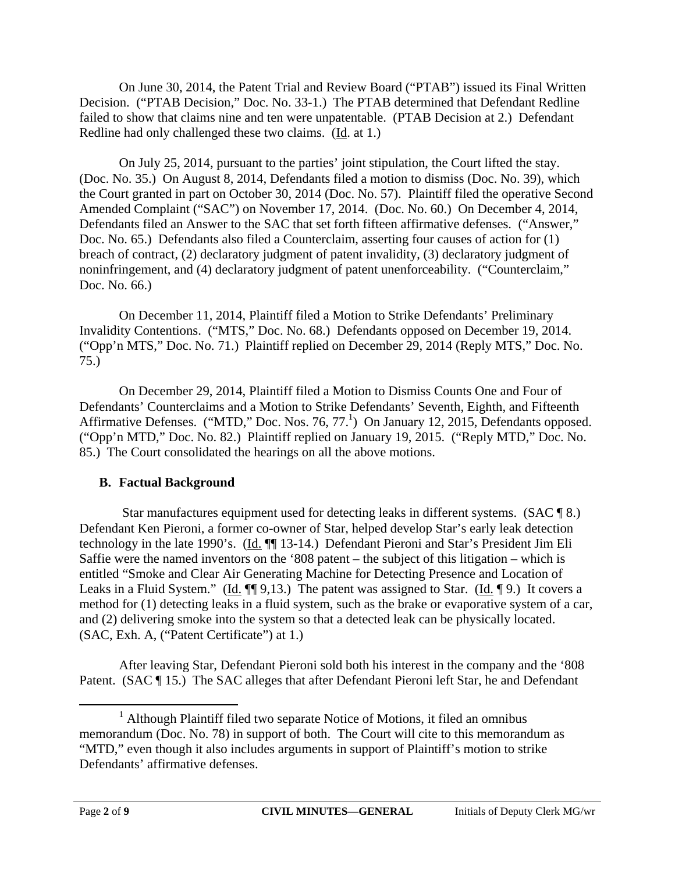On June 30, 2014, the Patent Trial and Review Board ("PTAB") issued its Final Written Decision. ("PTAB Decision," Doc. No. 33-1.) The PTAB determined that Defendant Redline failed to show that claims nine and ten were unpatentable. (PTAB Decision at 2.) Defendant Redline had only challenged these two claims. (Id. at 1.)

On July 25, 2014, pursuant to the parties' joint stipulation, the Court lifted the stay. (Doc. No. 35.) On August 8, 2014, Defendants filed a motion to dismiss (Doc. No. 39), which the Court granted in part on October 30, 2014 (Doc. No. 57). Plaintiff filed the operative Second Amended Complaint ("SAC") on November 17, 2014. (Doc. No. 60.) On December 4, 2014, Defendants filed an Answer to the SAC that set forth fifteen affirmative defenses. ("Answer," Doc. No. 65.) Defendants also filed a Counterclaim, asserting four causes of action for (1) breach of contract, (2) declaratory judgment of patent invalidity, (3) declaratory judgment of noninfringement, and (4) declaratory judgment of patent unenforceability. ("Counterclaim," Doc. No. 66.)

On December 11, 2014, Plaintiff filed a Motion to Strike Defendants' Preliminary Invalidity Contentions. ("MTS," Doc. No. 68.) Defendants opposed on December 19, 2014. ("Opp'n MTS," Doc. No. 71.) Plaintiff replied on December 29, 2014 (Reply MTS," Doc. No. 75.)

On December 29, 2014, Plaintiff filed a Motion to Dismiss Counts One and Four of Defendants' Counterclaims and a Motion to Strike Defendants' Seventh, Eighth, and Fifteenth Affirmative Defenses. ("MTD," Doc. Nos. 76, 77. $^1$ ) On January 12, 2015, Defendants opposed. ("Opp'n MTD," Doc. No. 82.) Plaintiff replied on January 19, 2015. ("Reply MTD," Doc. No. 85.) The Court consolidated the hearings on all the above motions.

# **B. Factual Background**

 Star manufactures equipment used for detecting leaks in different systems. (SAC ¶ 8.) Defendant Ken Pieroni, a former co-owner of Star, helped develop Star's early leak detection technology in the late 1990's. (Id. ¶¶ 13-14.) Defendant Pieroni and Star's President Jim Eli Saffie were the named inventors on the '808 patent – the subject of this litigation – which is entitled "Smoke and Clear Air Generating Machine for Detecting Presence and Location of Leaks in a Fluid System." (Id.  $\P$ , 9,13.) The patent was assigned to Star. (Id.  $\P$ , 9.) It covers a method for (1) detecting leaks in a fluid system, such as the brake or evaporative system of a car, and (2) delivering smoke into the system so that a detected leak can be physically located. (SAC, Exh. A, ("Patent Certificate") at 1.)

After leaving Star, Defendant Pieroni sold both his interest in the company and the '808 Patent. (SAC ¶ 15.) The SAC alleges that after Defendant Pieroni left Star, he and Defendant

<sup>&</sup>lt;u>1</u> <sup>1</sup> Although Plaintiff filed two separate Notice of Motions, it filed an omnibus memorandum (Doc. No. 78) in support of both. The Court will cite to this memorandum as "MTD," even though it also includes arguments in support of Plaintiff's motion to strike Defendants' affirmative defenses.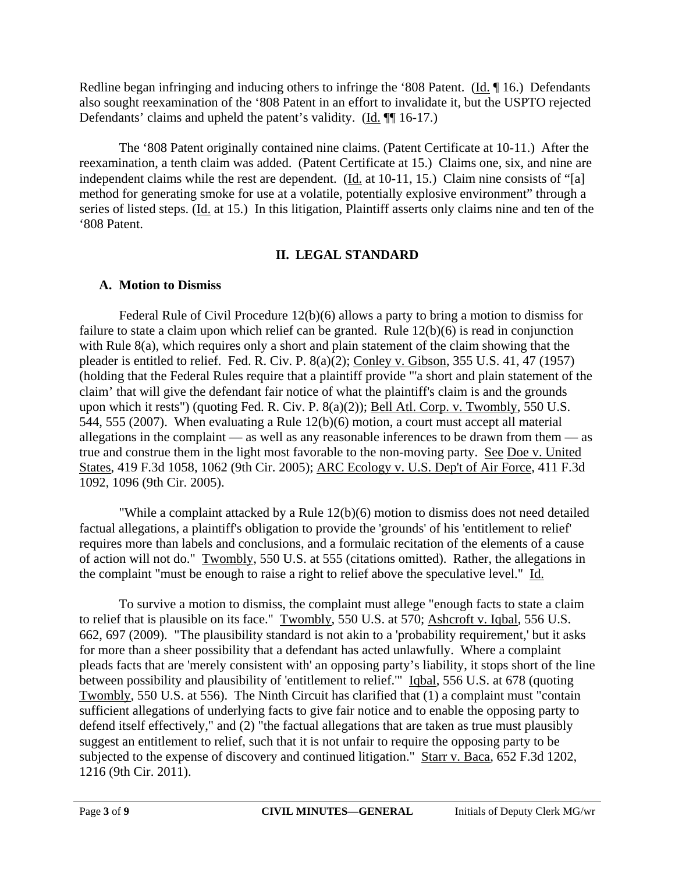Redline began infringing and inducing others to infringe the '808 Patent. (Id. 16.) Defendants also sought reexamination of the '808 Patent in an effort to invalidate it, but the USPTO rejected Defendants' claims and upheld the patent's validity. (Id. ¶ 16-17.)

The '808 Patent originally contained nine claims. (Patent Certificate at 10-11.) After the reexamination, a tenth claim was added. (Patent Certificate at 15.) Claims one, six, and nine are independent claims while the rest are dependent. (Id. at 10-11, 15.) Claim nine consists of "[a] method for generating smoke for use at a volatile, potentially explosive environment" through a series of listed steps. (Id. at 15.) In this litigation, Plaintiff asserts only claims nine and ten of the '808 Patent.

# **II. LEGAL STANDARD**

# **A. Motion to Dismiss**

Federal Rule of Civil Procedure 12(b)(6) allows a party to bring a motion to dismiss for failure to state a claim upon which relief can be granted. Rule 12(b)(6) is read in conjunction with Rule 8(a), which requires only a short and plain statement of the claim showing that the pleader is entitled to relief. Fed. R. Civ. P. 8(a)(2); Conley v. Gibson, 355 U.S. 41, 47 (1957) (holding that the Federal Rules require that a plaintiff provide "'a short and plain statement of the claim' that will give the defendant fair notice of what the plaintiff's claim is and the grounds upon which it rests") (quoting Fed. R. Civ. P. 8(a)(2)); Bell Atl. Corp. v. Twombly, 550 U.S. 544, 555 (2007). When evaluating a Rule 12(b)(6) motion, a court must accept all material allegations in the complaint — as well as any reasonable inferences to be drawn from them — as true and construe them in the light most favorable to the non-moving party. See Doe v. United States, 419 F.3d 1058, 1062 (9th Cir. 2005); ARC Ecology v. U.S. Dep't of Air Force, 411 F.3d 1092, 1096 (9th Cir. 2005).

"While a complaint attacked by a Rule 12(b)(6) motion to dismiss does not need detailed factual allegations, a plaintiff's obligation to provide the 'grounds' of his 'entitlement to relief' requires more than labels and conclusions, and a formulaic recitation of the elements of a cause of action will not do." Twombly, 550 U.S. at 555 (citations omitted). Rather, the allegations in the complaint "must be enough to raise a right to relief above the speculative level." Id.

To survive a motion to dismiss, the complaint must allege "enough facts to state a claim to relief that is plausible on its face." Twombly, 550 U.S. at 570; Ashcroft v. Iqbal, 556 U.S. 662, 697 (2009). "The plausibility standard is not akin to a 'probability requirement,' but it asks for more than a sheer possibility that a defendant has acted unlawfully. Where a complaint pleads facts that are 'merely consistent with' an opposing party's liability, it stops short of the line between possibility and plausibility of 'entitlement to relief.'" Iqbal, 556 U.S. at 678 (quoting Twombly, 550 U.S. at 556). The Ninth Circuit has clarified that (1) a complaint must "contain sufficient allegations of underlying facts to give fair notice and to enable the opposing party to defend itself effectively," and (2) "the factual allegations that are taken as true must plausibly suggest an entitlement to relief, such that it is not unfair to require the opposing party to be subjected to the expense of discovery and continued litigation." Starr v. Baca, 652 F.3d 1202, 1216 (9th Cir. 2011).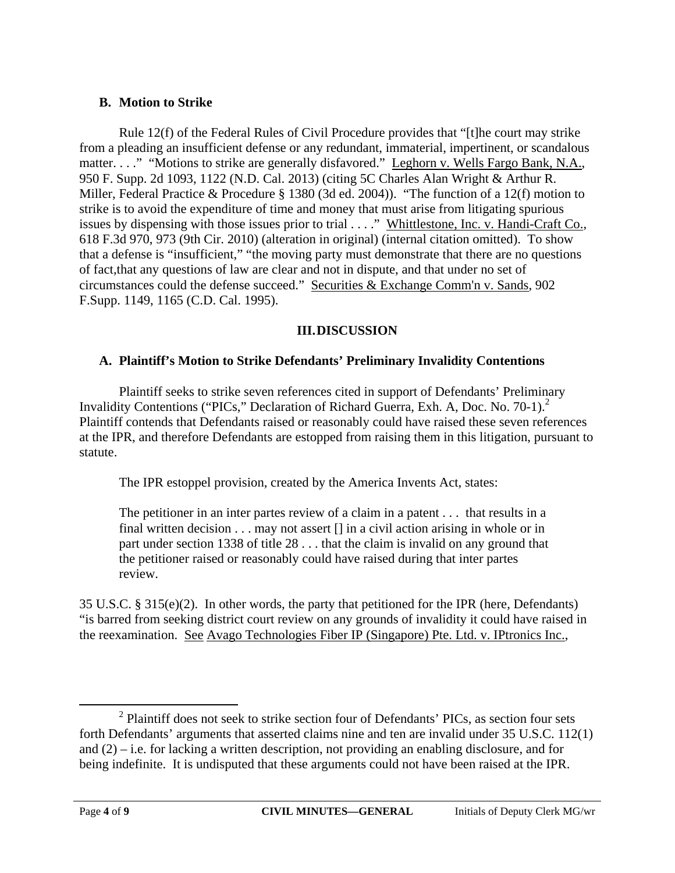#### **B. Motion to Strike**

Rule 12(f) of the Federal Rules of Civil Procedure provides that "[t]he court may strike from a pleading an insufficient defense or any redundant, immaterial, impertinent, or scandalous matter. . . ." "Motions to strike are generally disfavored." Leghorn v. Wells Fargo Bank, N.A., 950 F. Supp. 2d 1093, 1122 (N.D. Cal. 2013) (citing 5C Charles Alan Wright & Arthur R. Miller, Federal Practice & Procedure § 1380 (3d ed. 2004)). "The function of a 12(f) motion to strike is to avoid the expenditure of time and money that must arise from litigating spurious issues by dispensing with those issues prior to trial . . . ." Whittlestone, Inc. v. Handi-Craft Co., 618 F.3d 970, 973 (9th Cir. 2010) (alteration in original) (internal citation omitted). To show that a defense is "insufficient," "the moving party must demonstrate that there are no questions of fact,that any questions of law are clear and not in dispute, and that under no set of circumstances could the defense succeed." Securities & Exchange Comm'n v. Sands, 902 F.Supp. 1149, 1165 (C.D. Cal. 1995).

# **III.DISCUSSION**

# **A. Plaintiff's Motion to Strike Defendants' Preliminary Invalidity Contentions**

Plaintiff seeks to strike seven references cited in support of Defendants' Preliminary Invalidity Contentions ("PICs," Declaration of Richard Guerra, Exh. A, Doc. No. 70-1).2 Plaintiff contends that Defendants raised or reasonably could have raised these seven references at the IPR, and therefore Defendants are estopped from raising them in this litigation, pursuant to statute.

The IPR estoppel provision, created by the America Invents Act, states:

The petitioner in an inter partes review of a claim in a patent . . . that results in a final written decision . . . may not assert [] in a civil action arising in whole or in part under section 1338 of title 28 . . . that the claim is invalid on any ground that the petitioner raised or reasonably could have raised during that inter partes review.

35 U.S.C. § 315(e)(2). In other words, the party that petitioned for the IPR (here, Defendants) "is barred from seeking district court review on any grounds of invalidity it could have raised in the reexamination. See Avago Technologies Fiber IP (Singapore) Pte. Ltd. v. IPtronics Inc.,

 <sup>2</sup>  $2$  Plaintiff does not seek to strike section four of Defendants' PICs, as section four sets forth Defendants' arguments that asserted claims nine and ten are invalid under 35 U.S.C. 112(1) and (2) – i.e. for lacking a written description, not providing an enabling disclosure, and for being indefinite. It is undisputed that these arguments could not have been raised at the IPR.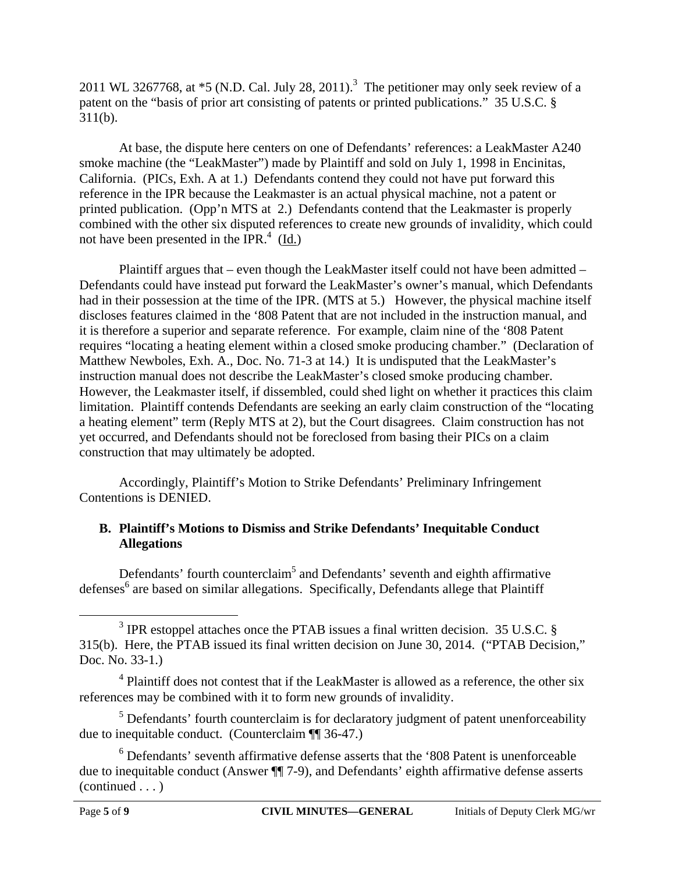2011 WL 3267768, at  $*5$  (N.D. Cal. July 28, 2011).<sup>3</sup> The petitioner may only seek review of a patent on the "basis of prior art consisting of patents or printed publications." 35 U.S.C. § 311(b).

 At base, the dispute here centers on one of Defendants' references: a LeakMaster A240 smoke machine (the "LeakMaster") made by Plaintiff and sold on July 1, 1998 in Encinitas, California. (PICs, Exh. A at 1.) Defendants contend they could not have put forward this reference in the IPR because the Leakmaster is an actual physical machine, not a patent or printed publication. (Opp'n MTS at 2.) Defendants contend that the Leakmaster is properly combined with the other six disputed references to create new grounds of invalidity, which could not have been presented in the IPR. $4 \text{ (Id.)}$ 

 Plaintiff argues that – even though the LeakMaster itself could not have been admitted – Defendants could have instead put forward the LeakMaster's owner's manual, which Defendants had in their possession at the time of the IPR. (MTS at 5.) However, the physical machine itself discloses features claimed in the '808 Patent that are not included in the instruction manual, and it is therefore a superior and separate reference. For example, claim nine of the '808 Patent requires "locating a heating element within a closed smoke producing chamber." (Declaration of Matthew Newboles, Exh. A., Doc. No. 71-3 at 14.) It is undisputed that the LeakMaster's instruction manual does not describe the LeakMaster's closed smoke producing chamber. However, the Leakmaster itself, if dissembled, could shed light on whether it practices this claim limitation. Plaintiff contends Defendants are seeking an early claim construction of the "locating a heating element" term (Reply MTS at 2), but the Court disagrees. Claim construction has not yet occurred, and Defendants should not be foreclosed from basing their PICs on a claim construction that may ultimately be adopted.

 Accordingly, Plaintiff's Motion to Strike Defendants' Preliminary Infringement Contentions is DENIED.

# **B. Plaintiff's Motions to Dismiss and Strike Defendants' Inequitable Conduct Allegations**

Defendants' fourth counterclaim<sup>5</sup> and Defendants' seventh and eighth affirmative defenses<sup>6</sup> are based on similar allegations. Specifically, Defendants allege that Plaintiff

 $<sup>5</sup>$  Defendants' fourth counterclaim is for declaratory judgment of patent unenforceability</sup> due to inequitable conduct. (Counterclaim ¶¶ 36-47.)

<sup>6</sup> Defendants' seventh affirmative defense asserts that the '808 Patent is unenforceable due to inequitable conduct (Answer ¶¶ 7-9), and Defendants' eighth affirmative defense asserts (continued . . . )

 $\frac{1}{3}$  $3$  IPR estoppel attaches once the PTAB issues a final written decision. 35 U.S.C. § 315(b). Here, the PTAB issued its final written decision on June 30, 2014. ("PTAB Decision," Doc. No. 33-1.)

<sup>&</sup>lt;sup>4</sup> Plaintiff does not contest that if the LeakMaster is allowed as a reference, the other six references may be combined with it to form new grounds of invalidity.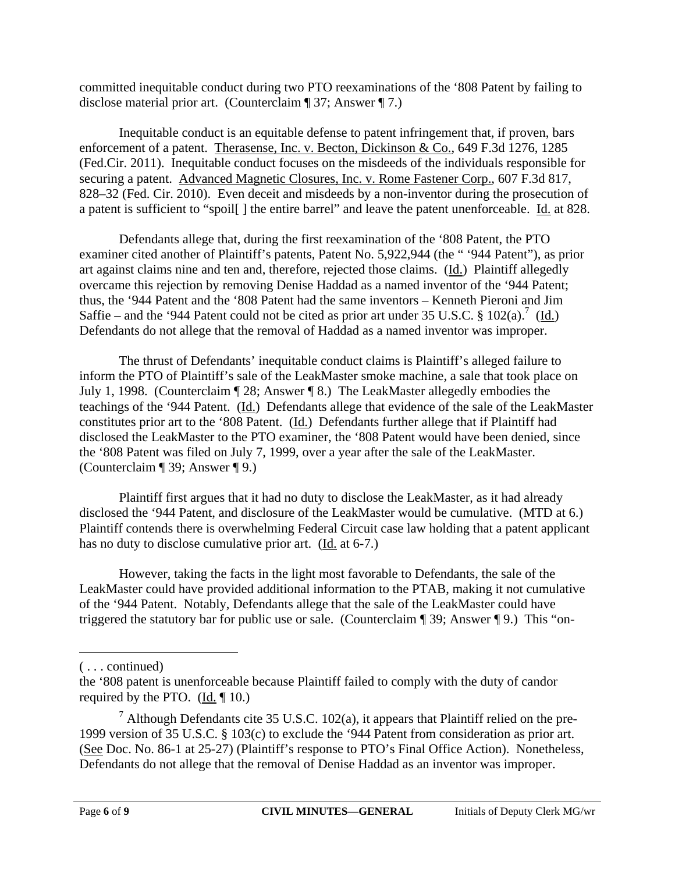committed inequitable conduct during two PTO reexaminations of the '808 Patent by failing to disclose material prior art. (Counterclaim ¶ 37; Answer ¶ 7.)

Inequitable conduct is an equitable defense to patent infringement that, if proven, bars enforcement of a patent. Therasense, Inc. v. Becton, Dickinson & Co., 649 F.3d 1276, 1285 (Fed.Cir. 2011). Inequitable conduct focuses on the misdeeds of the individuals responsible for securing a patent. Advanced Magnetic Closures, Inc. v. Rome Fastener Corp., 607 F.3d 817, 828–32 (Fed. Cir. 2010). Even deceit and misdeeds by a non-inventor during the prosecution of a patent is sufficient to "spoil[ ] the entire barrel" and leave the patent unenforceable. Id. at 828.

Defendants allege that, during the first reexamination of the '808 Patent, the PTO examiner cited another of Plaintiff's patents, Patent No. 5,922,944 (the " '944 Patent"), as prior art against claims nine and ten and, therefore, rejected those claims. (Id.) Plaintiff allegedly overcame this rejection by removing Denise Haddad as a named inventor of the '944 Patent; thus, the '944 Patent and the '808 Patent had the same inventors – Kenneth Pieroni and Jim Saffie – and the '944 Patent could not be cited as prior art under 35 U.S.C.  $\frac{102(a)}{7}$  (Id.) Defendants do not allege that the removal of Haddad as a named inventor was improper.

The thrust of Defendants' inequitable conduct claims is Plaintiff's alleged failure to inform the PTO of Plaintiff's sale of the LeakMaster smoke machine, a sale that took place on July 1, 1998. (Counterclaim ¶ 28; Answer ¶ 8.) The LeakMaster allegedly embodies the teachings of the '944 Patent. (Id.) Defendants allege that evidence of the sale of the LeakMaster constitutes prior art to the '808 Patent. (Id.) Defendants further allege that if Plaintiff had disclosed the LeakMaster to the PTO examiner, the '808 Patent would have been denied, since the '808 Patent was filed on July 7, 1999, over a year after the sale of the LeakMaster. (Counterclaim ¶ 39; Answer ¶ 9.)

Plaintiff first argues that it had no duty to disclose the LeakMaster, as it had already disclosed the '944 Patent, and disclosure of the LeakMaster would be cumulative. (MTD at 6.) Plaintiff contends there is overwhelming Federal Circuit case law holding that a patent applicant has no duty to disclose cumulative prior art. (Id. at 6-7.)

However, taking the facts in the light most favorable to Defendants, the sale of the LeakMaster could have provided additional information to the PTAB, making it not cumulative of the '944 Patent. Notably, Defendants allege that the sale of the LeakMaster could have triggered the statutory bar for public use or sale. (Counterclaim ¶ 39; Answer ¶ 9.) This "on-

 $\overline{a}$ 

<sup>( . . .</sup> continued)

the '808 patent is unenforceable because Plaintiff failed to comply with the duty of candor required by the PTO.  $(Id. \P 10.)$ 

<sup>&</sup>lt;sup>7</sup> Although Defendants cite 35 U.S.C. 102(a), it appears that Plaintiff relied on the pre-1999 version of 35 U.S.C. § 103(c) to exclude the '944 Patent from consideration as prior art. (See Doc. No. 86-1 at 25-27) (Plaintiff's response to PTO's Final Office Action). Nonetheless, Defendants do not allege that the removal of Denise Haddad as an inventor was improper.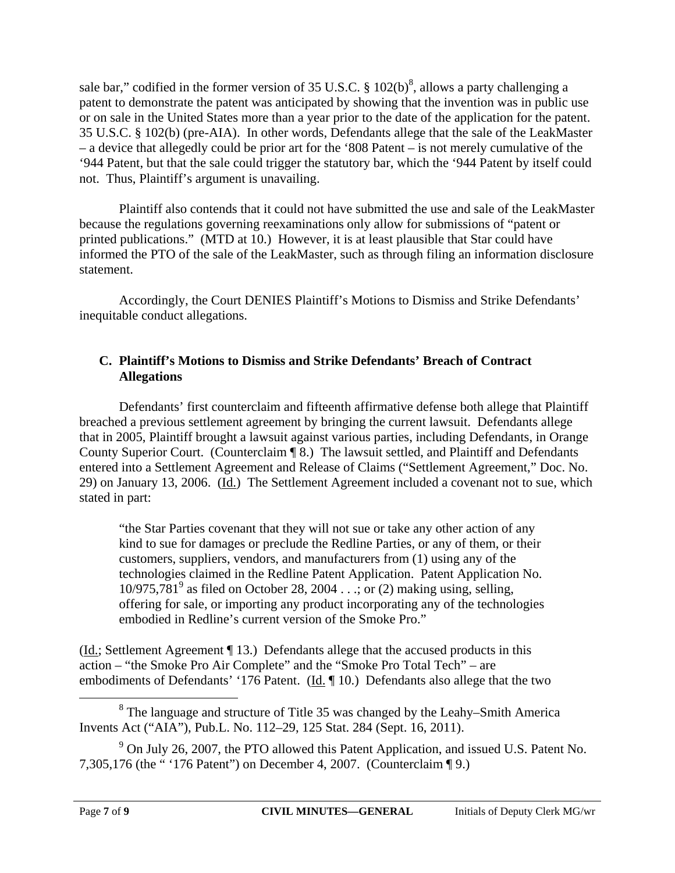sale bar," codified in the former version of 35 U.S.C.  $\S 102(b)^8$ , allows a party challenging a patent to demonstrate the patent was anticipated by showing that the invention was in public use or on sale in the United States more than a year prior to the date of the application for the patent. 35 U.S.C. § 102(b) (pre-AIA). In other words, Defendants allege that the sale of the LeakMaster – a device that allegedly could be prior art for the '808 Patent – is not merely cumulative of the '944 Patent, but that the sale could trigger the statutory bar, which the '944 Patent by itself could not. Thus, Plaintiff's argument is unavailing.

Plaintiff also contends that it could not have submitted the use and sale of the LeakMaster because the regulations governing reexaminations only allow for submissions of "patent or printed publications." (MTD at 10.) However, it is at least plausible that Star could have informed the PTO of the sale of the LeakMaster, such as through filing an information disclosure statement.

Accordingly, the Court DENIES Plaintiff's Motions to Dismiss and Strike Defendants' inequitable conduct allegations.

### **C. Plaintiff's Motions to Dismiss and Strike Defendants' Breach of Contract Allegations**

Defendants' first counterclaim and fifteenth affirmative defense both allege that Plaintiff breached a previous settlement agreement by bringing the current lawsuit. Defendants allege that in 2005, Plaintiff brought a lawsuit against various parties, including Defendants, in Orange County Superior Court. (Counterclaim ¶ 8.) The lawsuit settled, and Plaintiff and Defendants entered into a Settlement Agreement and Release of Claims ("Settlement Agreement," Doc. No. 29) on January 13, 2006. (Id.) The Settlement Agreement included a covenant not to sue, which stated in part:

"the Star Parties covenant that they will not sue or take any other action of any kind to sue for damages or preclude the Redline Parties, or any of them, or their customers, suppliers, vendors, and manufacturers from (1) using any of the technologies claimed in the Redline Patent Application. Patent Application No.  $10/975,781<sup>9</sup>$  as filed on October 28, 2004 . . .; or (2) making using, selling, offering for sale, or importing any product incorporating any of the technologies embodied in Redline's current version of the Smoke Pro."

(Id.; Settlement Agreement ¶ 13.) Defendants allege that the accused products in this action – "the Smoke Pro Air Complete" and the "Smoke Pro Total Tech" – are embodiments of Defendants' '176 Patent. (Id. ¶ 10.) Defendants also allege that the two

 <sup>8</sup> The language and structure of Title 35 was changed by the Leahy–Smith America Invents Act ("AIA"), Pub.L. No. 112–29, 125 Stat. 284 (Sept. 16, 2011).

 $9^9$  On July 26, 2007, the PTO allowed this Patent Application, and issued U.S. Patent No. 7,305,176 (the " '176 Patent") on December 4, 2007. (Counterclaim ¶ 9.)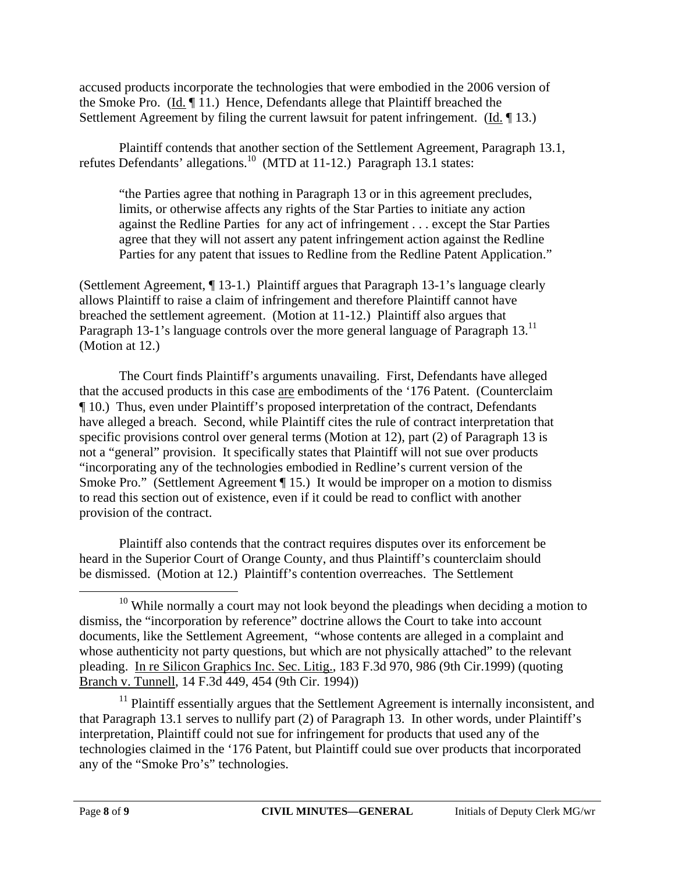accused products incorporate the technologies that were embodied in the 2006 version of the Smoke Pro. (Id. ¶ 11.) Hence, Defendants allege that Plaintiff breached the Settlement Agreement by filing the current lawsuit for patent infringement. (Id. ¶ 13.)

 Plaintiff contends that another section of the Settlement Agreement, Paragraph 13.1, refutes Defendants' allegations.<sup>10</sup> (MTD at 11-12.) Paragraph 13.1 states:

"the Parties agree that nothing in Paragraph 13 or in this agreement precludes, limits, or otherwise affects any rights of the Star Parties to initiate any action against the Redline Parties for any act of infringement . . . except the Star Parties agree that they will not assert any patent infringement action against the Redline Parties for any patent that issues to Redline from the Redline Patent Application."

(Settlement Agreement, ¶ 13-1.) Plaintiff argues that Paragraph 13-1's language clearly allows Plaintiff to raise a claim of infringement and therefore Plaintiff cannot have breached the settlement agreement. (Motion at 11-12.) Plaintiff also argues that Paragraph 13-1's language controls over the more general language of Paragraph 13.<sup>11</sup> (Motion at 12.)

The Court finds Plaintiff's arguments unavailing. First, Defendants have alleged that the accused products in this case are embodiments of the '176 Patent. (Counterclaim ¶ 10.) Thus, even under Plaintiff's proposed interpretation of the contract, Defendants have alleged a breach. Second, while Plaintiff cites the rule of contract interpretation that specific provisions control over general terms (Motion at 12), part (2) of Paragraph 13 is not a "general" provision. It specifically states that Plaintiff will not sue over products "incorporating any of the technologies embodied in Redline's current version of the Smoke Pro." (Settlement Agreement ¶ 15.) It would be improper on a motion to dismiss to read this section out of existence, even if it could be read to conflict with another provision of the contract.

Plaintiff also contends that the contract requires disputes over its enforcement be heard in the Superior Court of Orange County, and thus Plaintiff's counterclaim should be dismissed. (Motion at 12.) Plaintiff's contention overreaches. The Settlement

 $11$  Plaintiff essentially argues that the Settlement Agreement is internally inconsistent, and that Paragraph 13.1 serves to nullify part (2) of Paragraph 13. In other words, under Plaintiff's interpretation, Plaintiff could not sue for infringement for products that used any of the technologies claimed in the '176 Patent, but Plaintiff could sue over products that incorporated any of the "Smoke Pro's" technologies.

<sup>&</sup>lt;sup>10</sup> While normally a court may not look beyond the pleadings when deciding a motion to dismiss, the "incorporation by reference" doctrine allows the Court to take into account documents, like the Settlement Agreement, "whose contents are alleged in a complaint and whose authenticity not party questions, but which are not physically attached" to the relevant pleading. In re Silicon Graphics Inc. Sec. Litig., 183 F.3d 970, 986 (9th Cir.1999) (quoting Branch v. Tunnell, 14 F.3d 449, 454 (9th Cir. 1994))